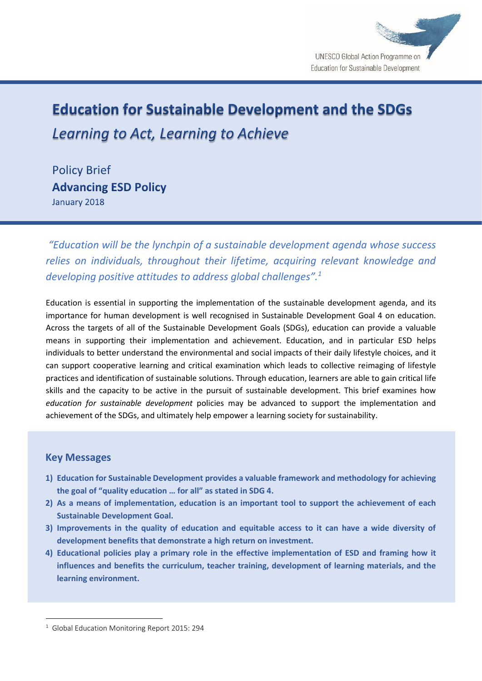

# **Education for Sustainable Development and the SDGs** Learning to Act, Learning to Achieve

**Policy Brief Advancing ESD Policy** January 2018

*"Education will be the lynchpin of a sustainable development agenda whose success relies on individuals, throughout their lifetime, acquiring relevant knowledge and developing positive attitudes to address global challenges".<sup>1</sup>*

Education is essential in supporting the implementation of the sustainable development agenda, and its importance for human development is well recognised in Sustainable Development Goal 4 on education. Across the targets of all of the Sustainable Development Goals (SDGs), education can provide a valuable means in supporting their implementation and achievement. Education, and in particular ESD helps individuals to better understand the environmental and social impacts of their daily lifestyle choices, and it can support cooperative learning and critical examination which leads to collective reimaging of lifestyle practices and identification of sustainable solutions. Through education, learners are able to gain critical life skills and the capacity to be active in the pursuit of sustainable development. This brief examines how *education for sustainable development* policies may be advanced to support the implementation and achievement of the SDGs, and ultimately help empower a learning society for sustainability.

# **Key Messages**

1

- **1) Education for Sustainable Development provides a valuable framework and methodology for achieving the goal of "quality education … for all" as stated in SDG 4.**
- **2) As a means of implementation, education is an important tool to support the achievement of each Sustainable Development Goal.**
- **3) Improvements in the quality of education and equitable access to it can have a wide diversity of development benefits that demonstrate a high return on investment.**
- **4) Educational policies play a primary role in the effective implementation of ESD and framing how it influences and benefits the curriculum, teacher training, development of learning materials, and the learning environment.**

<sup>&</sup>lt;sup>1</sup> Global Education Monitoring Report 2015: 294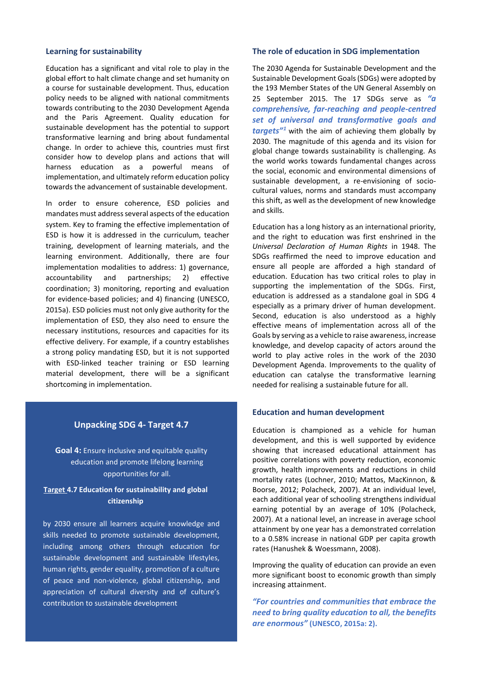#### **Learning for sustainability**

Education has a significant and vital role to play in the global effort to halt climate change and set humanity on a course for sustainable development. Thus, education policy needs to be aligned with national commitments towards contributing to the 2030 Development Agenda and the Paris Agreement. Quality education for sustainable development has the potential to support transformative learning and bring about fundamental change. In order to achieve this, countries must first consider how to develop plans and actions that will harness education as a powerful means of implementation, and ultimately reform education policy towards the advancement of sustainable development.

In order to ensure coherence, ESD policies and mandates must address several aspects of the education system. Key to framing the effective implementation of ESD is how it is addressed in the curriculum, teacher training, development of learning materials, and the learning environment. Additionally, there are four implementation modalities to address: 1) governance, accountability and partnerships; 2) effective coordination; 3) monitoring, reporting and evaluation for evidence-based policies; and 4) financing (UNESCO, 2015a). ESD policies must not only give authority for the implementation of ESD, they also need to ensure the necessary institutions, resources and capacities for its effective delivery. For example, if a country establishes a strong policy mandating ESD, but it is not supported with ESD-linked teacher training or ESD learning material development, there will be a significant shortcoming in implementation.

# **Unpacking SDG 4- Target 4.7**

**Goal 4:** Ensure inclusive and equitable quality education and promote lifelong learning opportunities for all.

# **Target 4.7 Education for sustainability and global citizenship**

by 2030 ensure all learners acquire knowledge and skills needed to promote sustainable development, including among others through education for sustainable development and sustainable lifestyles, human rights, gender equality, promotion of a culture of peace and non-violence, global citizenship, and appreciation of cultural diversity and of culture's contribution to sustainable development

#### **The role of education in SDG implementation**

The 2030 Agenda for Sustainable Development and the Sustainable Development Goals (SDGs) were adopted by the 193 Member States of the UN General Assembly on 25 September 2015. The 17 SDGs serve as *"a comprehensive, far-reaching and people-centred set of universal and transformative goals and targets"<sup>1</sup>* with the aim of achieving them globally by 2030. The magnitude of this agenda and its vision for global change towards sustainability is challenging. As the world works towards fundamental changes across the social, economic and environmental dimensions of sustainable development, a re-envisioning of sociocultural values, norms and standards must accompany this shift, as well as the development of new knowledge and skills.

Education has a long history as an international priority, and the right to education was first enshrined in the *Universal Declaration of Human Rights* in 1948. The SDGs reaffirmed the need to improve education and ensure all people are afforded a high standard of education. Education has two critical roles to play in supporting the implementation of the SDGs. First, education is addressed as a standalone goal in SDG 4 especially as a primary driver of human development. Second, education is also understood as a highly effective means of implementation across all of the Goals by serving as a vehicle to raise awareness, increase knowledge, and develop capacity of actors around the world to play active roles in the work of the 2030 Development Agenda. Improvements to the quality of education can catalyse the transformative learning needed for realising a sustainable future for all.

### **Education and human development**

Education is championed as a vehicle for human development, and this is well supported by evidence showing that increased educational attainment has positive correlations with poverty reduction, economic growth, health improvements and reductions in child mortality rates (Lochner, 2010; Mattos, MacKinnon, & Boorse, 2012; Polacheck, 2007). At an individual level, each additional year of schooling strengthens individual earning potential by an average of 10% (Polacheck, 2007). At a national level, an increase in average school attainment by one year has a demonstrated correlation to a 0.58% increase in national GDP per capita growth rates (Hanushek & Woessmann, 2008).

Improving the quality of education can provide an even more significant boost to economic growth than simply increasing attainment.

*"For countries and communities that embrace the need to bring quality education to all, the benefits are enormous"* **(UNESCO, 2015a: 2).**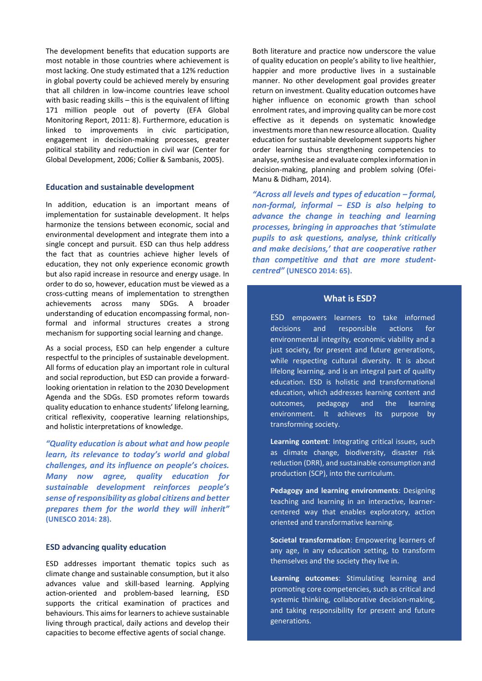The development benefits that education supports are most notable in those countries where achievement is most lacking. One study estimated that a 12% reduction in global poverty could be achieved merely by ensuring that all children in low-income countries leave school with basic reading skills – this is the equivalent of lifting 171 million people out of poverty (EFA Global Monitoring Report, 2011: 8). Furthermore, education is linked to improvements in civic participation, engagement in decision-making processes, greater political stability and reduction in civil war (Center for Global Development, 2006; Collier & Sambanis, 2005).

## **Education and sustainable development**

In addition, education is an important means of implementation for sustainable development. It helps harmonize the tensions between economic, social and environmental development and integrate them into a single concept and pursuit. ESD can thus help address the fact that as countries achieve higher levels of education, they not only experience economic growth but also rapid increase in resource and energy usage. In order to do so, however, education must be viewed as a cross-cutting means of implementation to strengthen achievements across many SDGs. A broader understanding of education encompassing formal, nonformal and informal structures creates a strong mechanism for supporting social learning and change.

As a social process, ESD can help engender a culture respectful to the principles of sustainable development. All forms of education play an important role in cultural and social reproduction, but ESD can provide a forwardlooking orientation in relation to the 2030 Development Agenda and the SDGs. ESD promotes reform towards quality education to enhance students' lifelong learning, critical reflexivity, cooperative learning relationships, and holistic interpretations of knowledge.

*"Quality education is about what and how people learn, its relevance to today's world and global challenges, and its influence on people's choices. Many now agree, quality education for sustainable development reinforces people's sense of responsibility as global citizens and better prepares them for the world they will inherit"* **(UNESCO 2014: 28).**

## **ESD advancing quality education**

ESD addresses important thematic topics such as climate change and sustainable consumption, but it also advances value and skill-based learning. Applying action-oriented and problem-based learning, ESD supports the critical examination of practices and behaviours. This aims for learners to achieve sustainable living through practical, daily actions and develop their capacities to become effective agents of social change.

Both literature and practice now underscore the value of quality education on people's ability to live healthier, happier and more productive lives in a sustainable manner. No other development goal provides greater return on investment. Quality education outcomes have higher influence on economic growth than school enrolment rates, and improving quality can be more cost effective as it depends on systematic knowledge investments more than new resource allocation. Quality education for sustainable development supports higher order learning thus strengthening competencies to analyse, synthesise and evaluate complex information in decision-making, planning and problem solving (Ofei-Manu & Didham, 2014).

*"Across all levels and types of education – formal, non-formal, informal – ESD is also helping to advance the change in teaching and learning processes, bringing in approaches that 'stimulate pupils to ask questions, analyse, think critically and make decisions,' that are cooperative rather than competitive and that are more studentcentred"* **(UNESCO 2014: 65).**

# **What is ESD?**

ESD empowers learners to take informed decisions and responsible actions for environmental integrity, economic viability and a just society, for present and future generations, while respecting cultural diversity. It is about lifelong learning, and is an integral part of quality education. ESD is holistic and transformational education, which addresses learning content and outcomes, pedagogy and the learning environment. It achieves its purpose by transforming society.

**Learning content**: Integrating critical issues, such as climate change, biodiversity, disaster risk reduction (DRR), and sustainable consumption and production (SCP), into the curriculum.

**Pedagogy and learning environments**: Designing teaching and learning in an interactive, learnercentered way that enables exploratory, action oriented and transformative learning.

**Societal transformation**: Empowering learners of any age, in any education setting, to transform themselves and the society they live in.

**Learning outcomes**: Stimulating learning and promoting core competencies, such as critical and systemic thinking, collaborative decision-making, and taking responsibility for present and future generations.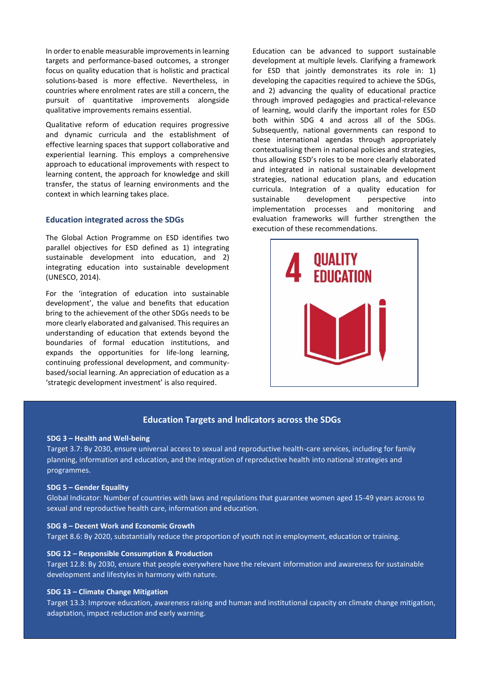In order to enable measurable improvements in learning targets and performance-based outcomes, a stronger focus on quality education that is holistic and practical solutions-based is more effective. Nevertheless, in countries where enrolment rates are still a concern, the pursuit of quantitative improvements alongside qualitative improvements remains essential.

Qualitative reform of education requires progressive and dynamic curricula and the establishment of effective learning spaces that support collaborative and experiential learning. This employs a comprehensive approach to educational improvements with respect to learning content, the approach for knowledge and skill transfer, the status of learning environments and the context in which learning takes place.

#### **Education integrated across the SDGs**

The Global Action Programme on ESD identifies two parallel objectives for ESD defined as 1) integrating sustainable development into education, and 2) integrating education into sustainable development (UNESCO, 2014).

For the 'integration of education into sustainable development', the value and benefits that education bring to the achievement of the other SDGs needs to be more clearly elaborated and galvanised. This requires an understanding of education that extends beyond the boundaries of formal education institutions, and expands the opportunities for life-long learning, continuing professional development, and communitybased/social learning. An appreciation of education as a 'strategic development investment' is also required.

Education can be advanced to support sustainable development at multiple levels. Clarifying a framework for ESD that jointly demonstrates its role in: 1) developing the capacities required to achieve the SDGs, and 2) advancing the quality of educational practice through improved pedagogies and practical-relevance of learning, would clarify the important roles for ESD both within SDG 4 and across all of the SDGs. Subsequently, national governments can respond to these international agendas through appropriately contextualising them in national policies and strategies, thus allowing ESD's roles to be more clearly elaborated and integrated in national sustainable development strategies, national education plans, and education curricula. Integration of a quality education for sustainable development perspective into implementation processes and monitoring and evaluation frameworks will further strengthen the execution of these recommendations.



## **Education Targets and Indicators across the SDGs**

#### **SDG 3 – Health and Well-being**

Target 3.7: By 2030, ensure universal access to sexual and reproductive health-care services, including for family planning, information and education, and the integration of reproductive health into national strategies and programmes.

#### **SDG 5 – Gender Equality**

Global Indicator: Number of countries with laws and regulations that guarantee women aged 15-49 years across to sexual and reproductive health care, information and education.

#### **SDG 8 – Decent Work and Economic Growth**

Target 8.6: By 2020, substantially reduce the proportion of youth not in employment, education or training.

#### **SDG 12 – Responsible Consumption & Production**

Target 12.8: By 2030, ensure that people everywhere have the relevant information and awareness for sustainable development and lifestyles in harmony with nature.

#### **SDG 13 – Climate Change Mitigation**

Target 13.3: Improve education, awareness raising and human and institutional capacity on climate change mitigation, adaptation, impact reduction and early warning.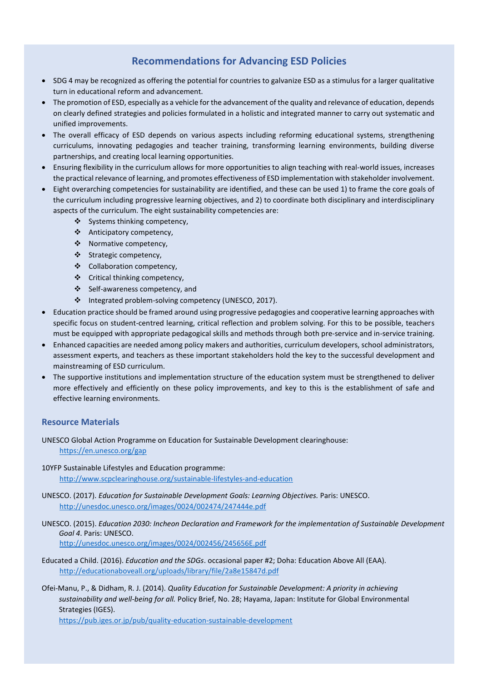# **Recommendations for Advancing ESD Policies**

- SDG 4 may be recognized as offering the potential for countries to galvanize ESD as a stimulus for a larger qualitative turn in educational reform and advancement.
- The promotion of ESD, especially as a vehicle for the advancement of the quality and relevance of education, depends on clearly defined strategies and policies formulated in a holistic and integrated manner to carry out systematic and unified improvements.
- The overall efficacy of ESD depends on various aspects including reforming educational systems, strengthening curriculums, innovating pedagogies and teacher training, transforming learning environments, building diverse partnerships, and creating local learning opportunities.
- Ensuring flexibility in the curriculum allows for more opportunities to align teaching with real-world issues, increases the practical relevance of learning, and promotes effectiveness of ESD implementation with stakeholder involvement.
- Eight overarching competencies for sustainability are identified, and these can be used 1) to frame the core goals of the curriculum including progressive learning objectives, and 2) to coordinate both disciplinary and interdisciplinary aspects of the curriculum. The eight sustainability competencies are:
	- Systems thinking competency,
	- Anticipatory competency,
	- Normative competency,
	- Strategic competency,
	- Collaboration competency,
	- Critical thinking competency,
	- Self-awareness competency, and
	- Integrated problem-solving competency (UNESCO, 2017).
- Education practice should be framed around using progressive pedagogies and cooperative learning approaches with specific focus on student-centred learning, critical reflection and problem solving. For this to be possible, teachers must be equipped with appropriate pedagogical skills and methods through both pre-service and in-service training.
- Enhanced capacities are needed among policy makers and authorities, curriculum developers, school administrators, assessment experts, and teachers as these important stakeholders hold the key to the successful development and mainstreaming of ESD curriculum.
- The supportive institutions and implementation structure of the education system must be strengthened to deliver more effectively and efficiently on these policy improvements, and key to this is the establishment of safe and effective learning environments.

# **Resource Materials**

UNESCO Global Action Programme on Education for Sustainable Development clearinghouse: <https://en.unesco.org/gap>

- 10YFP Sustainable Lifestyles and Education programme: <http://www.scpclearinghouse.org/sustainable-lifestyles-and-education>
- UNESCO. (2017). *Education for Sustainable Development Goals: Learning Objectives.* Paris: UNESCO. <http://unesdoc.unesco.org/images/0024/002474/247444e.pdf>
- UNESCO. (2015). *Education 2030: Incheon Declaration and Framework for the implementation of Sustainable Development Goal 4*. Paris: UNESCO.

<http://unesdoc.unesco.org/images/0024/002456/245656E.pdf>

- Educated a Child. (2016). *Education and the SDGs*. occasional paper #2; Doha: Education Above All (EAA). <http://educationaboveall.org/uploads/library/file/2a8e15847d.pdf>
- Ofei-Manu, P., & Didham, R. J. (2014). *Quality Education for Sustainable Development: A priority in achieving sustainability and well-being for all.* Policy Brief, No. 28; Hayama, Japan: Institute for Global Environmental Strategies (IGES).

<https://pub.iges.or.jp/pub/quality-education-sustainable-development>